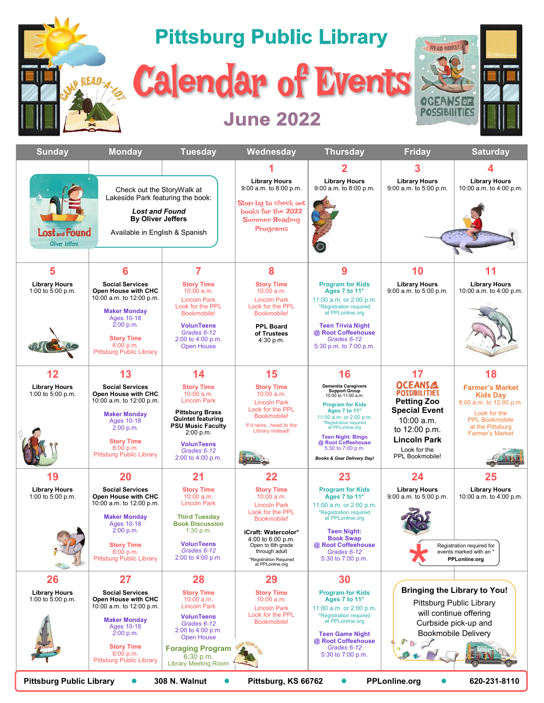

| <b>Sunday</b>                                                                                                                                                                                            | <b>Monday</b>                                                                                                                                                                                           | <b>Tuesday</b>                                                                                                                                                                                                   | Wednesday                                                                                                                                                                                                                 | <b>Thursday</b>                                                                                                                                                                                                                                                                                         | <b>Friday</b>                                                                                                                                                                 | <b>Saturday</b>                                                                                                                                             |
|----------------------------------------------------------------------------------------------------------------------------------------------------------------------------------------------------------|---------------------------------------------------------------------------------------------------------------------------------------------------------------------------------------------------------|------------------------------------------------------------------------------------------------------------------------------------------------------------------------------------------------------------------|---------------------------------------------------------------------------------------------------------------------------------------------------------------------------------------------------------------------------|---------------------------------------------------------------------------------------------------------------------------------------------------------------------------------------------------------------------------------------------------------------------------------------------------------|-------------------------------------------------------------------------------------------------------------------------------------------------------------------------------|-------------------------------------------------------------------------------------------------------------------------------------------------------------|
|                                                                                                                                                                                                          |                                                                                                                                                                                                         |                                                                                                                                                                                                                  |                                                                                                                                                                                                                           |                                                                                                                                                                                                                                                                                                         |                                                                                                                                                                               |                                                                                                                                                             |
| Check out the StoryWalk at<br>Lakeside Park featuring the book:<br><b>Lost and Found</b><br><b>By Oliver Jeffers</b><br><b>Lost and Found</b><br>Available in English & Spanish<br><b>Oliver Jeffers</b> |                                                                                                                                                                                                         |                                                                                                                                                                                                                  | <b>Library Hours</b><br>9:00 a.m. to 8:00 p.m.<br>Stop by to check out<br>books for the 2022<br><b>Summer Reading</b><br>Programs                                                                                         | <b>Library Hours</b><br>9:00 a.m. to 8:00 p.m.                                                                                                                                                                                                                                                          | <b>Library Hours</b><br>9:00 a.m. to 5:00 p.m.                                                                                                                                | <b>Library Hours</b><br>10:00 a.m. to 4:00 p.m.                                                                                                             |
|                                                                                                                                                                                                          |                                                                                                                                                                                                         |                                                                                                                                                                                                                  |                                                                                                                                                                                                                           |                                                                                                                                                                                                                                                                                                         |                                                                                                                                                                               |                                                                                                                                                             |
| 5                                                                                                                                                                                                        | 6                                                                                                                                                                                                       | 7                                                                                                                                                                                                                | 8                                                                                                                                                                                                                         | 9                                                                                                                                                                                                                                                                                                       | 10                                                                                                                                                                            | 11                                                                                                                                                          |
| <b>Library Hours</b><br>1:00 to 5:00 p.m.                                                                                                                                                                | <b>Social Services</b><br>Open House with CHC<br>10:00 a.m. to 12:00 p.m.<br><b>Maker Monday</b><br><b>Ages 10-18</b><br>2:00 p.m.<br><b>Story Time</b><br>6:00 p.m.<br><b>Pittsburg Public Library</b> | <b>Story Time</b><br>10:00 a.m.<br><b>Lincoln Park</b><br>Look for the PPL<br>Bookmobile!<br><b>VolunTeens</b><br>Grades 6-12<br>2:00 to 4:00 p.m.<br><b>Open House</b>                                          | <b>Story Time</b><br>$10:00$ a.m.<br><b>Lincoln Park</b><br>Look for the PPL<br>Bookmobile!<br><b>PPL Board</b><br>of Trustees<br>4:30 p.m.                                                                               | <b>Program for Kids</b><br>Ages 7 to 11*<br>11:00 a.m. or 2:00 p.m.<br>*Registration required<br>at PPLonline.org<br><b>Teen Trivia Night</b><br>@ Root Coffeehouse<br>Grades 6-12<br>5:30 p.m. to 7:00 p.m.                                                                                            | <b>Library Hours</b><br>9:00 a.m. to 5:00 p.m.                                                                                                                                | <b>Library Hours</b><br>10:00 a.m. to 4:00 p.m.                                                                                                             |
| 12                                                                                                                                                                                                       | 13                                                                                                                                                                                                      | 14                                                                                                                                                                                                               | 15                                                                                                                                                                                                                        | 16                                                                                                                                                                                                                                                                                                      | 17                                                                                                                                                                            | 18                                                                                                                                                          |
| <b>Library Hours</b><br>1:00 to 5:00 p.m.                                                                                                                                                                | <b>Social Services</b><br>Open House with CHC<br>10:00 a.m. to 12:00 p.m.<br><b>Maker Monday</b><br>Ages 10-18<br>2:00 p.m.<br><b>Story Time</b><br>6:00 p.m.<br><b>Pittsburg Public Library</b>        | <b>Story Time</b><br>$10:00$ a.m.<br><b>Lincoln Park</b><br><b>Pittsburg Brass</b><br><b>Quintet featuring</b><br><b>PSU Music Faculty</b><br>2:00 p.m.<br><b>VolunTeens</b><br>Grades 6-12<br>2:00 to 4:00 p.m. | <b>Story Time</b><br>$10:00$ a.m.<br><b>Lincoln Park</b><br>Look for the PPL<br>Bookmobile!<br>If it rainshead to the<br>Library instead!                                                                                 | <b>Dementia Caregivers<br/>Support Group</b><br>10:00 to 11:00 a.m.<br><b>Program for Kids</b><br>Ages 7 to 11*<br>11:00 a.m. or 2:00 p.m.<br>Registration required<br>at PPLonline.org<br><b>Teen Night: Bingo</b><br>@ Root Coffeehouse<br>5:30 to 7:00 p.m.<br><b>Books &amp; Gear Delivery Day!</b> | <b>OCEANSA</b><br><b>POSSIBILITIES</b><br><b>Petting Zoo</b><br><b>Special Event</b><br>10:00 a.m.<br>to 12:00 p.m.<br><b>Lincoln Park</b><br>Look for the<br>PPL Bookmobile! | <b>Farmer's Market</b><br><b>Kids Day</b><br>8:00 a.m. to 12:00 p.m.<br>Look for the<br><b>PPL Bookmobile</b><br>at the Pittsburg<br><b>Farmer's Market</b> |
| 19                                                                                                                                                                                                       | 20                                                                                                                                                                                                      | 21                                                                                                                                                                                                               | 22                                                                                                                                                                                                                        | 23                                                                                                                                                                                                                                                                                                      | 24                                                                                                                                                                            | 25                                                                                                                                                          |
| <b>Library Hours</b><br>1:00 to 5:00 p.m.                                                                                                                                                                | <b>Social Services</b><br>Open House with CHC<br>10:00 a.m. to 12:00 p.m.<br><b>Maker Monday</b><br>Ages 10-18<br>2:00 p.m.<br><b>Story Time</b><br>6:00 p.m.<br><b>Pittsburg Public Library</b>        | <b>Story Time</b><br>$10:00$ a.m.<br><b>Lincoln Park</b><br><b>Third Tuesday</b><br><b>Book Discussion</b><br>1:30 p.m.<br><b>VolunTeens</b><br>Grades 6-12<br>2:00 to 4:00 p.m.                                 | <b>Story Time</b><br>10:00 a.m.<br><b>Lincoln Park</b><br>Look for the PPL<br>Bookmobile!<br>iCraft: Watercolor*<br>4:00 to 6:00 p.m.<br>Open to 6th grade<br>through adult<br>*Registration Required<br>at PPLonline.org | <b>Program for Kids</b><br>Ages 7 to 11*<br>11:00 a.m. or 2:00 p.m.<br>*Registration required<br>at PPLonline.org<br><b>Teen Night:</b><br><b>Book Swap</b><br>@ Root Coffeehouse<br>Grades 6-12<br>5:30 to 7:00 p.m.                                                                                   | <b>Library Hours</b><br>9:00 a.m. to 5:00 p.m.                                                                                                                                | <b>Library Hours</b><br>10:00 a.m. to 4:00 p.m.<br>Registration required for<br>events marked with an *<br>PPLonline.org                                    |
| 26                                                                                                                                                                                                       | 27                                                                                                                                                                                                      | 28                                                                                                                                                                                                               | 29                                                                                                                                                                                                                        | 30                                                                                                                                                                                                                                                                                                      |                                                                                                                                                                               |                                                                                                                                                             |
| <b>Library Hours</b><br>1:00 to 5:00 p.m.                                                                                                                                                                | <b>Social Services</b><br>Open House with CHC<br>10:00 a.m. to 12:00 p.m.<br><b>Maker Monday</b><br>Ages 10-18<br>2:00 p.m.<br><b>Story Time</b><br>6:00 p.m.<br>Pittsburg Public Library               | <b>Story Time</b><br>$10:00$ a.m.<br><b>Lincoln Park</b><br><b>VolunTeens</b><br>Grades 6-12<br>2:00 to 4:00 p.m.<br><b>Open House</b><br><b>Foraging Program</b><br>6:30 p.m.<br><b>Library Meeting Room</b>    | <b>Story Time</b><br>$10:00$ a.m.<br><b>Lincoln Park</b><br>Look for the PPL<br>Bookmobile!                                                                                                                               | <b>Program for Kids</b><br>Ages 7 to 11*<br>11:00 a.m. or 2:00 p.m.<br>*Registration required<br>at PPLonline.org<br><b>Teen Game Night</b><br>@ Root Coffeehouse<br>Grades 6-12<br>5:30 to 7:00 p.m.                                                                                                   | <b>Bringing the Library to You!</b><br>Pittsburg Public Library<br>will continue offering<br>Curbside pick-up and<br><b>Bookmobile Delivery</b>                               |                                                                                                                                                             |
| <b>Pittsburg Public Library</b><br>308 N. Walnut<br><b>PPLonline.org</b><br>620-231-8110<br>Pittsburg, KS 66762<br>$\bullet$                                                                             |                                                                                                                                                                                                         |                                                                                                                                                                                                                  |                                                                                                                                                                                                                           |                                                                                                                                                                                                                                                                                                         |                                                                                                                                                                               |                                                                                                                                                             |